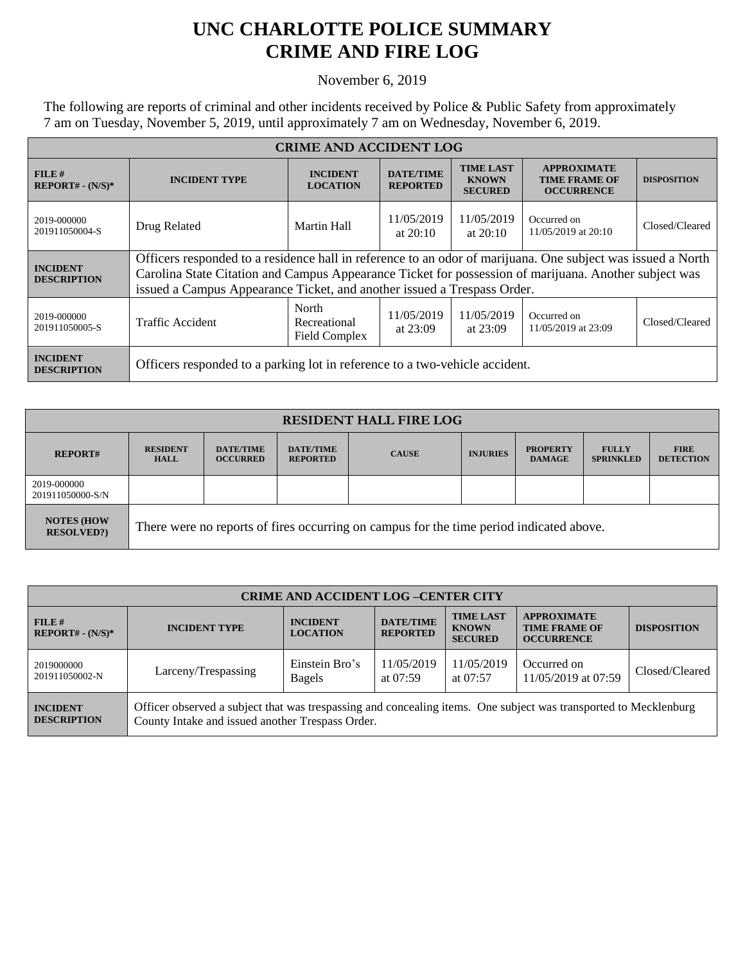## **UNC CHARLOTTE POLICE SUMMARY CRIME AND FIRE LOG**

November 6, 2019

The following are reports of criminal and other incidents received by Police & Public Safety from approximately 7 am on Tuesday, November 5, 2019, until approximately 7 am on Wednesday, November 6, 2019.

| <b>CRIME AND ACCIDENT LOG</b>         |                                                                                                                                                                                                                                                                                                 |                                        |                                     |                                                    |                                                                 |                    |  |
|---------------------------------------|-------------------------------------------------------------------------------------------------------------------------------------------------------------------------------------------------------------------------------------------------------------------------------------------------|----------------------------------------|-------------------------------------|----------------------------------------------------|-----------------------------------------------------------------|--------------------|--|
| FILE#<br>$REPORT# - (N/S)*$           | <b>INCIDENT TYPE</b>                                                                                                                                                                                                                                                                            | <b>INCIDENT</b><br><b>LOCATION</b>     | <b>DATE/TIME</b><br><b>REPORTED</b> | <b>TIME LAST</b><br><b>KNOWN</b><br><b>SECURED</b> | <b>APPROXIMATE</b><br><b>TIME FRAME OF</b><br><b>OCCURRENCE</b> | <b>DISPOSITION</b> |  |
| 2019-000000<br>201911050004-S         | Drug Related                                                                                                                                                                                                                                                                                    | Martin Hall                            | 11/05/2019<br>at $20:10$            | 11/05/2019<br>at $20:10$                           | Occurred on<br>11/05/2019 at 20:10                              | Closed/Cleared     |  |
| <b>INCIDENT</b><br><b>DESCRIPTION</b> | Officers responded to a residence hall in reference to an odor of marijuana. One subject was issued a North<br>Carolina State Citation and Campus Appearance Ticket for possession of marijuana. Another subject was<br>issued a Campus Appearance Ticket, and another issued a Trespass Order. |                                        |                                     |                                                    |                                                                 |                    |  |
| 2019-000000<br>201911050005-S         | <b>Traffic Accident</b>                                                                                                                                                                                                                                                                         | North<br>Recreational<br>Field Complex | 11/05/2019<br>at $23:09$            | 11/05/2019<br>at $23:09$                           | Occurred on<br>11/05/2019 at 23:09                              | Closed/Cleared     |  |
| <b>INCIDENT</b><br><b>DESCRIPTION</b> | Officers responded to a parking lot in reference to a two-vehicle accident.                                                                                                                                                                                                                     |                                        |                                     |                                                    |                                                                 |                    |  |

| <b>RESIDENT HALL FIRE LOG</b>         |                                                                                         |                                     |                                     |              |                 |                                  |                                  |                                 |
|---------------------------------------|-----------------------------------------------------------------------------------------|-------------------------------------|-------------------------------------|--------------|-----------------|----------------------------------|----------------------------------|---------------------------------|
| <b>REPORT#</b>                        | <b>RESIDENT</b><br><b>HALL</b>                                                          | <b>DATE/TIME</b><br><b>OCCURRED</b> | <b>DATE/TIME</b><br><b>REPORTED</b> | <b>CAUSE</b> | <b>INJURIES</b> | <b>PROPERTY</b><br><b>DAMAGE</b> | <b>FULLY</b><br><b>SPRINKLED</b> | <b>FIRE</b><br><b>DETECTION</b> |
| 2019-000000<br>201911050000-S/N       |                                                                                         |                                     |                                     |              |                 |                                  |                                  |                                 |
| <b>NOTES (HOW</b><br><b>RESOLVED?</b> | There were no reports of fires occurring on campus for the time period indicated above. |                                     |                                     |              |                 |                                  |                                  |                                 |

| <b>CRIME AND ACCIDENT LOG-CENTER CITY</b> |                                                                                                                                                                      |                                    |                                     |                                                    |                                                                 |                    |  |
|-------------------------------------------|----------------------------------------------------------------------------------------------------------------------------------------------------------------------|------------------------------------|-------------------------------------|----------------------------------------------------|-----------------------------------------------------------------|--------------------|--|
| FILE H<br>$REPORT# - (N/S)*$              | <b>INCIDENT TYPE</b>                                                                                                                                                 | <b>INCIDENT</b><br><b>LOCATION</b> | <b>DATE/TIME</b><br><b>REPORTED</b> | <b>TIME LAST</b><br><b>KNOWN</b><br><b>SECURED</b> | <b>APPROXIMATE</b><br><b>TIME FRAME OF</b><br><b>OCCURRENCE</b> | <b>DISPOSITION</b> |  |
| 2019000000<br>201911050002-N              | Larceny/Trespassing                                                                                                                                                  | Einstein Bro's<br><b>Bagels</b>    | 11/05/2019<br>at $07:59$            | 11/05/2019<br>at $07:57$                           | Occurred on<br>11/05/2019 at 07:59                              | Closed/Cleared     |  |
| <b>INCIDENT</b><br><b>DESCRIPTION</b>     | Officer observed a subject that was trespassing and concealing items. One subject was transported to Mecklenburg<br>County Intake and issued another Trespass Order. |                                    |                                     |                                                    |                                                                 |                    |  |